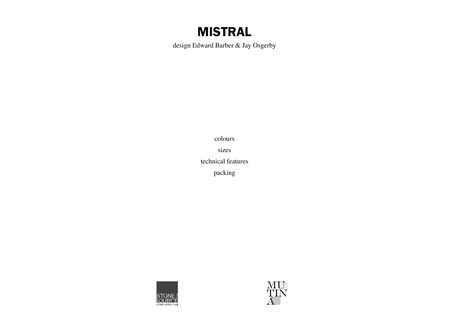# MISTRAL

design Edward Barber & Jay Osgerby

colours sizes technical features packing



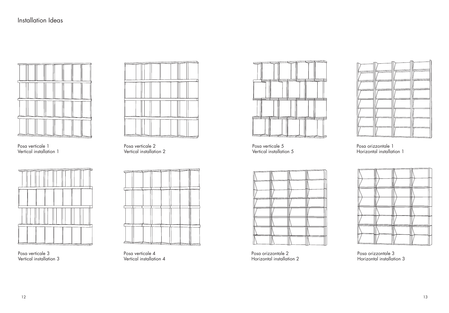

Posa verticale 1 Vertical installation 1



Posa verticale 3 Vertical installation 3



Posa verticale 2 Vertical installation 2



Posa verticale 4 Vertical installation 4



Posa verticale 5 Vertical installation 5



Posa orizzontale 2 Horizontal installation 2

Posa orizzontale 1 Horizontal installation 1

Posa orizzontale 3 Horizontal installation 3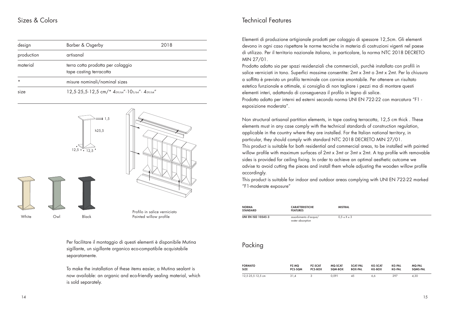### Sizes & Colors

| design     | Barber & Osgerby                                                | 2018 |  |
|------------|-----------------------------------------------------------------|------|--|
| production | artisanal                                                       |      |  |
| material   | terra cotta prodotta per colaggio<br>tape casting terracotta    |      |  |
| $\star$    | misure nominali/nominal sizes                                   |      |  |
| size       | 12,5.25,5.12,5 cm/* $4_{59/64}$ ".10 $_{3/64}$ ". $4_{59/64}$ " |      |  |



Per facilitare il montaggio di questi elementi è disponibile Mutina sigillante, un sigillante organico eco-compatibile acquistabile separatamente.

To make the installation of these items easier, a Mutina sealant is now available: an organic and eco-friendly sealing material, which is sold separately.

### Technical Features

Elementi di produzione artigianale prodotti per colaggio di spessore 12,5cm. Gli elementi devono in ogni caso rispettare le norme tecniche in materia di costruzioni vigenti nel paese di utilizzo. Per il territorio nazionale italiano, in particolare, la norma NTC 2018 DECRETO MIN 27/01.

Prodotto adatto sia per spazi residenziali che commerciali, purchè installato con profli in salice verniciati in tono. Superfici massime consentite: 2mt x 3mt o 3mt x 2mt. Per la chiusura a sofftto è previsto un proflo terminale con cornice smontabile. Per ottenere un risultato estetico funzionale e ottimale, si consiglia di non tagliare i pezzi ma di montare questi elementi interi, adattando di conseguenza il profilo in legno di salice. Prodotto adatto per interni ed esterni secondo norma UNI EN 722-22 con marcatura "F1 -

esposizione moderata".

Non structural artisanal partition elements, in tape casting terracotta, 12,5 cm thick . These elements must in any case comply with the technical standards of construction regulation, applicable in the country where they are installed. For the Italian national territory, in particular, they should comply with standard NTC 2018 DECRETO MIN 27/01. This product is suitable for both residential and commercial areas, to be installed with painted

willow profile with maximum surfaces of 2mt x 3mt or 3mt x 2mt. A top profile with removable sides is provided for ceiling fixing. In order to achieve an optimal aesthetic outcome we advise to avoid cutting the pieces and install them whole adjusting the wooden willow profile accordingly.

This product is suitable for indoor and outdoor areas complying with UNI EN 722-22 marked "F1-moderate exposure"

| <b>NORMA</b><br><b>STANDARD</b> | <b>CARATTERISTICHE</b><br><b>FEATURES</b> |                                  | <b>MISTRAL</b>            |                                   |                                 |                                |                                  |
|---------------------------------|-------------------------------------------|----------------------------------|---------------------------|-----------------------------------|---------------------------------|--------------------------------|----------------------------------|
| <b>UNI EN ISO 10545-3</b>       | assorbimento d'acqua/<br>water absorption |                                  | $0.5 \leq X \leq 3$       |                                   |                                 |                                |                                  |
| Packing                         |                                           |                                  |                           |                                   |                                 |                                |                                  |
| <b>FORMATO</b><br><b>SIZE</b>   | PZ-MQ<br>PCS-SQM                          | <b>PZ-SCAT</b><br><b>PCS-BOX</b> | <b>MQ-SCAT</b><br>SQM-BOX | <b>SCAT-PAL</b><br><b>BOX-PAL</b> | <b>KG-SCAT</b><br><b>KG-BOX</b> | <b>KG-PAL</b><br><b>KG-PAL</b> | <b>MQ-PAL</b><br><b>SQMS-PAL</b> |

12,5·25,5·12,5 cm 31,4 3 0,091 45 6,6 297 4,30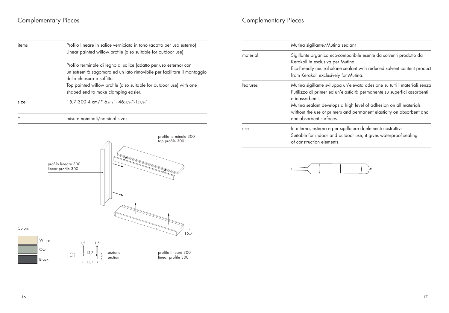## Complementary Pieces Complementary Pieces

| items    | Profilo lineare in salice verniciato in tono (adatto per uso esterno)<br>Linear painted willow profile (also suitable for outdoor use)                                                                                                                                                   |
|----------|------------------------------------------------------------------------------------------------------------------------------------------------------------------------------------------------------------------------------------------------------------------------------------------|
|          | Profilo terminale di legno di salice (adatto per uso esterno) con<br>un'estremità sagomata ed un lato rimovibile per facilitare il montaggio<br>della chiusura a soffitto.<br>Top painted willow profile (also suitable for outdoor use) with one<br>shaped end to make clamping easier. |
| size     | 15,7.300.4 cm/* 63/16" . 4629/64" . 137/64"                                                                                                                                                                                                                                              |
| $^\star$ | misure nominali/nominal sizes                                                                                                                                                                                                                                                            |
|          | profilo terminale 300<br>top profile 300<br>profilo lineare 300<br>linear profile 300                                                                                                                                                                                                    |
| Colors   | 15,7                                                                                                                                                                                                                                                                                     |
|          | White<br>1,5<br>1,5<br>Owl<br>12,7<br>profilo lineare 300<br>sezione<br>rú<br>linear profile 300<br>section<br>Black<br>15,7<br>$\bullet$                                                                                                                                                |

|          | Mutina sigillante/Mutina sealant                                                                                                                                                                                                                                                                                                                 |
|----------|--------------------------------------------------------------------------------------------------------------------------------------------------------------------------------------------------------------------------------------------------------------------------------------------------------------------------------------------------|
| material | Sigillante organico eco-compatibile esente da solventi prodotto da<br>Kerakoll in esclusiva per Mutina<br>Eco-friendly neutral silane sealant with reduced solvent content product<br>from Kerakoll exclusively for Mutina.                                                                                                                      |
| features | Mutina sigillante sviluppa un'elevata adesione su tutti i materiali senza<br>l'utilizzo di primer ed un'elasticità permanente su superfici assorbenti<br>e inassorbenti.<br>Mutina sealant develops a high level of adhesion on all materials<br>without the use of primers and permanent elasticity on absorbent and<br>non-absorbent surfaces. |
| use      | In interno, esterno e per sigillature di elementi costruttivi<br>Suitable for indoor and outdoor use, it gives waterproof sealing<br>of construction elements.                                                                                                                                                                                   |

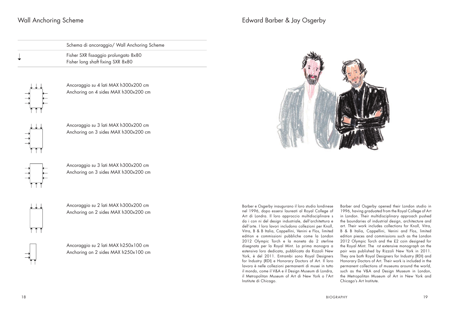### Wall Anchoring Scheme

| Schema di ancoraggio/ Wall Anchoring Scheme                               |
|---------------------------------------------------------------------------|
| Fisher SXR fissaggio prolungato 8x80<br>Fisher long shaft fixing SXR 8x80 |



Ancoraggio su 4 lati MAX h300x200 cm Anchoring on 4 sides MAX h300x200 cm

Ancoraggio su 3 lati MAX h300x200 cm Anchoring on 3 sides MAX h300x200 cm



Ancorgagio su 3 lati MAX h300x200 cm Anchoring on 3 sides MAX h300x200 cm



Ancoraggio su 2 lati MAX h300x200 cm Anchoring on 2 sides MAX h300x200 cm

Ancoraggio su 2 lati MAX h250x100 cm Anchoring on 2 sides MAX h250x100 cm

### Edward Barber & Jay Osgerby



Barber e Osgerby inaugurano il loro studio londinese nel 1996, dopo essersi laureati al Royal College of Art di Londra. Il loro approccio multidisciplinare s da i con ni del design industriale, dell'architettura e dell'arte. I loro lavori includono collezioni per Knoll, Vitra, B & B Italia, Cappellini, Venini e Flos, limited edition e commissioni pubbliche come la London 2012 Olympic Torch e la moneta da 2 sterline disegnata per la Royal Mint. La prima monogra a estensiva loro dedicata, pubblicata da Rizzoli New York, è del 2011. Entrambi sono Royal Designers for Industry (RDI) e Honorary Doctors of Art. Il loro lavoro è nelle collezioni permanenti di musei in tutto il mondo, come il V&A e il Design Museum di Londra, il Metropolitan Museum of Art di New York o l'Art Institute di Chicago.

Barber and Osgerby opened their London studio in 1996, having graduated from the Royal College of Art in London. Their multidisciplinary approach pushed the boundaries of industrial design, architecture and art. Their work includes collections for Knoll, Vitra, B & B Italia, Cappellini, Venini and Flos, limited edition pieces and commissions such as the London 2012 Olympic Torch and the £2 coin designed for the Royal Mint. The rst extensive monograph on the pair was published by Rizzoli New York in 2011. They are both Royal Designers for Industry (RDI) and Honorary Doctors of Art. Their work is included in the permanent collections of museums around the world, such as the V&A and Design Museum in London, the Metropolitan Museum of Art in New York and Chicago's Art Institute.